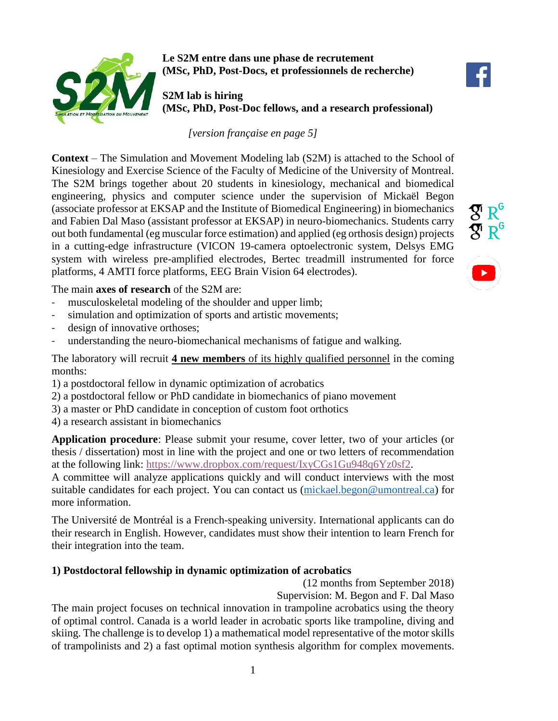

**Le S2M entre dans une phase de recrutement (MSc, PhD, Post-Docs, et professionnels de recherche)**

**S2M lab is hiring (MSc, PhD, Post-Doc fellows, and a research professional)**

*[version française en page 5]*

**Context** – The Simulation and Movement Modeling lab (S2M) is attached to the School of Kinesiology and Exercise Science of the Faculty of Medicine of the University of Montreal. The S2M brings together about 20 students in kinesiology, mechanical and biomedical engineering, physics and computer science under the supervision of Mickaël Begon (associate professor at EKSAP and the Institute of Biomedical Engineering) in biomechanics and Fabien Dal Maso (assistant professor at EKSAP) in neuro-biomechanics. Students carry out both fundamental (eg muscular force estimation) and applied (eg orthosis design) projects in a cutting-edge infrastructure (VICON 19-camera optoelectronic system, Delsys EMG system with wireless pre-amplified electrodes, Bertec treadmill instrumented for force platforms, 4 AMTI force platforms, EEG Brain Vision 64 electrodes).

The main **axes of research** of the S2M are:

- musculoskeletal modeling of the shoulder and upper limb;
- simulation and optimization of sports and artistic movements;
- design of innovative orthoses;
- understanding the neuro-biomechanical mechanisms of fatigue and walking.

The laboratory will recruit **4 new members** of its highly qualified personnel in the coming months:

- 1) a postdoctoral fellow in dynamic optimization of acrobatics
- 2) a postdoctoral fellow or PhD candidate in biomechanics of piano movement

3) a master or PhD candidate in conception of custom foot orthotics

4) a research assistant in biomechanics

**Application procedure**: Please submit your resume, cover letter, two of your articles (or thesis / dissertation) most in line with the project and one or two letters of recommendation at the following link: [https://www.dropbox.com/request/IxyCGs1Gu948q6Yz0sf2.](https://www.dropbox.com/request/IxyCGs1Gu948q6Yz0sf2)

A committee will analyze applications quickly and will conduct interviews with the most suitable candidates for each project. You can contact us [\(mickael.begon@umontreal.ca\)](mailto:mickael.begon@umontreal.ca) for more information.

The Université de Montréal is a French-speaking university. International applicants can do their research in English. However, candidates must show their intention to learn French for their integration into the team.

## **1) Postdoctoral fellowship in dynamic optimization of acrobatics**

(12 months from September 2018)

Supervision: M. Begon and F. Dal Maso The main project focuses on technical innovation in trampoline acrobatics using the theory of optimal control. Canada is a world leader in acrobatic sports like trampoline, diving and skiing. The challenge is to develop 1) a mathematical model representative of the motor skills of trampolinists and 2) a fast optimal motion synthesis algorithm for complex movements.

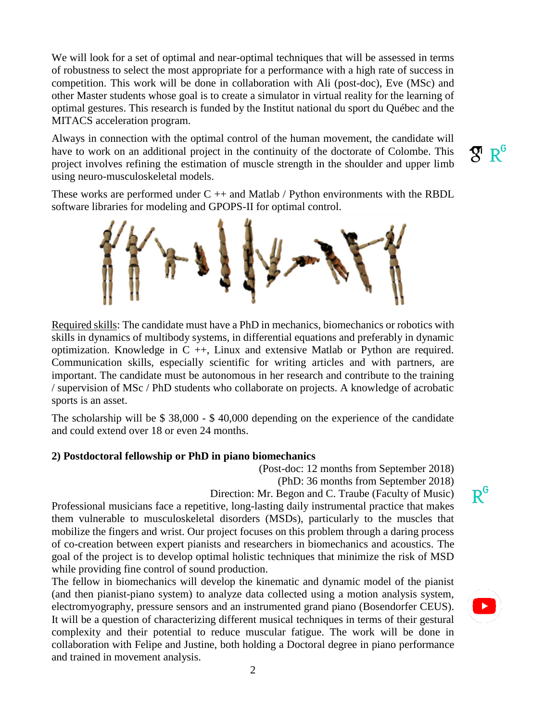We will look for a set of optimal and near-optimal techniques that will be assessed in terms of robustness to select the most appropriate for a performance with a high rate of success in competition. This work will be done in collaboration with Ali (post-doc), Eve (MSc) and other Master students whose goal is to create a simulator in virtual reality for the learning of optimal gestures. This research is funded by the Institut national du sport du Québec and the MITACS acceleration program.

Always in connection with the optimal control of the human movement, the candidate will have to work on an additional project in the continuity of the doctorate of Colombe. This project involves refining the estimation of muscle strength in the shoulder and upper limb using neuro-musculoskeletal models.

 $\mathbf{\mathcal{R}}$   $\mathbf{R}^\mathsf{G}$ 

These works are performed under  $C ++$  and Matlab / Python environments with the RBDL software libraries for modeling and GPOPS-II for optimal control.



Required skills: The candidate must have a PhD in mechanics, biomechanics or robotics with skills in dynamics of multibody systems, in differential equations and preferably in dynamic optimization. Knowledge in  $C +$ , Linux and extensive Matlab or Python are required. Communication skills, especially scientific for writing articles and with partners, are important. The candidate must be autonomous in her research and contribute to the training / supervision of MSc / PhD students who collaborate on projects. A knowledge of acrobatic sports is an asset.

The scholarship will be \$ 38,000 - \$ 40,000 depending on the experience of the candidate and could extend over 18 or even 24 months.

#### **2) Postdoctoral fellowship or PhD in piano biomechanics**

(Post-doc: 12 months from September 2018) (PhD: 36 months from September 2018)

Direction: Mr. Begon and C. Traube (Faculty of Music)

Professional musicians face a repetitive, long-lasting daily instrumental practice that makes them vulnerable to musculoskeletal disorders (MSDs), particularly to the muscles that mobilize the fingers and wrist. Our project focuses on this problem through a daring process of co-creation between expert pianists and researchers in biomechanics and acoustics. The goal of the project is to develop optimal holistic techniques that minimize the risk of MSD while providing fine control of sound production.

The fellow in biomechanics will develop the kinematic and dynamic model of the pianist (and then pianist-piano system) to analyze data collected using a motion analysis system, electromyography, pressure sensors and an instrumented grand piano (Bosendorfer CEUS). It will be a question of characterizing different musical techniques in terms of their gestural complexity and their potential to reduce muscular fatigue. The work will be done in collaboration with Felipe and Justine, both holding a Doctoral degree in piano performance and trained in movement analysis.

 $R^G$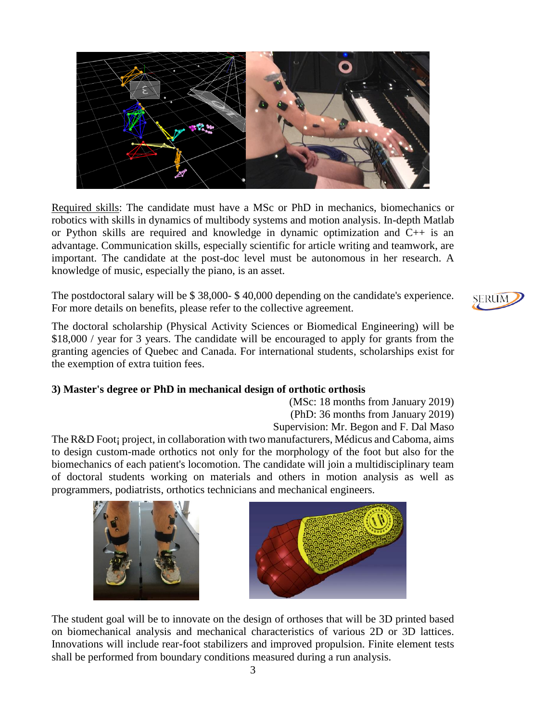

Required skills: The candidate must have a MSc or PhD in mechanics, biomechanics or robotics with skills in dynamics of multibody systems and motion analysis. In-depth Matlab or Python skills are required and knowledge in dynamic optimization and C++ is an advantage. Communication skills, especially scientific for article writing and teamwork, are important. The candidate at the post-doc level must be autonomous in her research. A knowledge of music, especially the piano, is an asset.

The postdoctoral salary will be \$ 38,000- \$ 40,000 depending on the candidate's experience. For more details on benefits, please refer to the collective agreement.

The doctoral scholarship (Physical Activity Sciences or Biomedical Engineering) will be \$18,000 / year for 3 years. The candidate will be encouraged to apply for grants from the granting agencies of Quebec and Canada. For international students, scholarships exist for the exemption of extra tuition fees.

### **3) Master's degree or PhD in mechanical design of orthotic orthosis**

(MSc: 18 months from January 2019) (PhD: 36 months from January 2019)

Supervision: Mr. Begon and F. Dal Maso

The R&D Foot; project, in collaboration with two manufacturers, Médicus and Caboma, aims to design custom-made orthotics not only for the morphology of the foot but also for the biomechanics of each patient's locomotion. The candidate will join a multidisciplinary team of doctoral students working on materials and others in motion analysis as well as programmers, podiatrists, orthotics technicians and mechanical engineers.





The student goal will be to innovate on the design of orthoses that will be 3D printed based on biomechanical analysis and mechanical characteristics of various 2D or 3D lattices. Innovations will include rear-foot stabilizers and improved propulsion. Finite element tests shall be performed from boundary conditions measured during a run analysis.

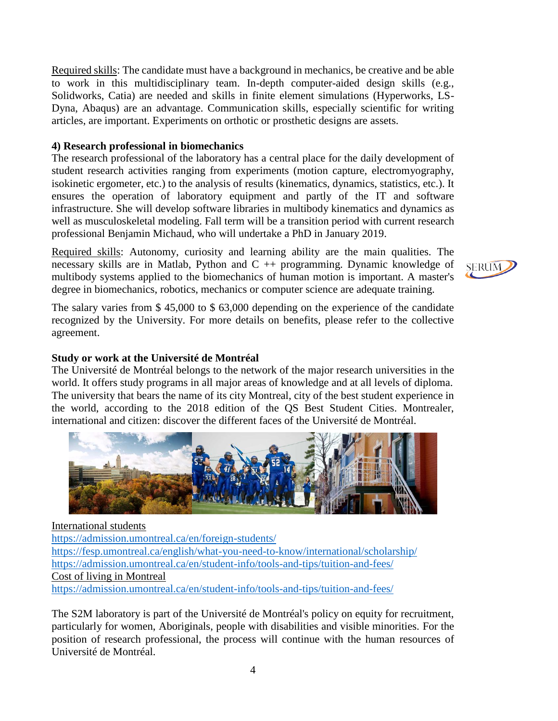Required skills: The candidate must have a background in mechanics, be creative and be able to work in this multidisciplinary team. In-depth computer-aided design skills (e.g., Solidworks, Catia) are needed and skills in finite element simulations (Hyperworks, LS-Dyna, Abaqus) are an advantage. Communication skills, especially scientific for writing articles, are important. Experiments on orthotic or prosthetic designs are assets.

### **4) Research professional in biomechanics**

The research professional of the laboratory has a central place for the daily development of student research activities ranging from experiments (motion capture, electromyography, isokinetic ergometer, etc.) to the analysis of results (kinematics, dynamics, statistics, etc.). It ensures the operation of laboratory equipment and partly of the IT and software infrastructure. She will develop software libraries in multibody kinematics and dynamics as well as musculoskeletal modeling. Fall term will be a transition period with current research professional Benjamin Michaud, who will undertake a PhD in January 2019.

Required skills: Autonomy, curiosity and learning ability are the main qualities. The necessary skills are in Matlab, Python and  $C +$  programming. Dynamic knowledge of multibody systems applied to the biomechanics of human motion is important. A master's degree in biomechanics, robotics, mechanics or computer science are adequate training.

The salary varies from \$ 45,000 to \$ 63,000 depending on the experience of the candidate recognized by the University. For more details on benefits, please refer to the collective agreement.

## **Study or work at the Université de Montréal**

The Université de Montréal belongs to the network of the major research universities in the world. It offers study programs in all major areas of knowledge and at all levels of diploma. The university that bears the name of its city Montreal, city of the best student experience in the world, according to the 2018 edition of the QS Best Student Cities. Montrealer, international and citizen: discover the different faces of the Université de Montréal.



International students <https://admission.umontreal.ca/en/foreign-students/> <https://fesp.umontreal.ca/english/what-you-need-to-know/international/scholarship/> <https://admission.umontreal.ca/en/student-info/tools-and-tips/tuition-and-fees/> Cost of living in Montreal <https://admission.umontreal.ca/en/student-info/tools-and-tips/tuition-and-fees/>

The S2M laboratory is part of the Université de Montréal's policy on equity for recruitment, particularly for women, Aboriginals, people with disabilities and visible minorities. For the position of research professional, the process will continue with the human resources of Université de Montréal.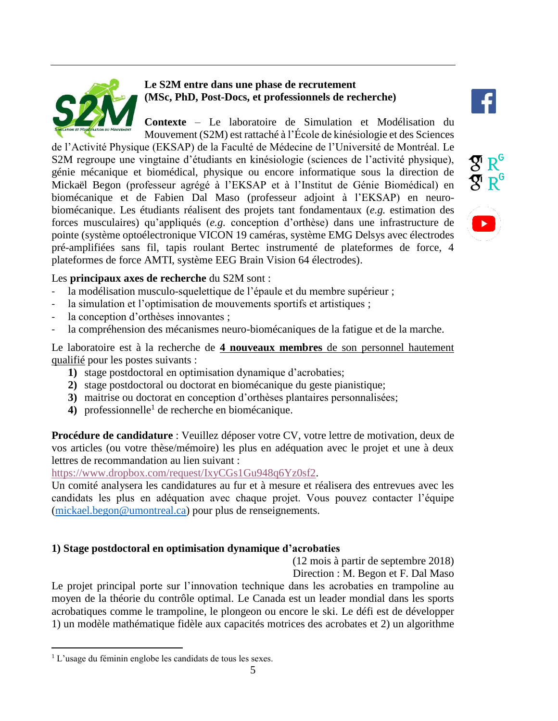

# **Le S2M entre dans une phase de recrutement (MSc, PhD, Post-Docs, et professionnels de recherche)**

**Contexte** – Le laboratoire de Simulation et Modélisation du Mouvement (S2M) est rattaché à l'École de kinésiologie et des Sciences

de l'Activité Physique (EKSAP) de la Faculté de Médecine de l'Université de Montréal. Le S2M regroupe une vingtaine d'étudiants en kinésiologie (sciences de l'activité physique), génie mécanique et biomédical, physique ou encore informatique sous la direction de Mickaël Begon (professeur agrégé à l'EKSAP et à l'Institut de Génie Biomédical) en biomécanique et de Fabien Dal Maso (professeur adjoint à l'EKSAP) en neurobiomécanique. Les étudiants réalisent des projets tant fondamentaux (*e.g.* estimation des forces musculaires) qu'appliqués (*e.g.* conception d'orthèse) dans une infrastructure de pointe (système optoélectronique VICON 19 caméras, système EMG Delsys avec électrodes pré-amplifiées sans fil, tapis roulant Bertec instrumenté de plateformes de force, 4 plateformes de force AMTI, système EEG Brain Vision 64 électrodes).





# Les **principaux axes de recherche** du S2M sont :

- la modélisation musculo-squelettique de l'épaule et du membre supérieur ;
- la simulation et l'optimisation de mouvements sportifs et artistiques ;
- la conception d'orthèses innovantes ;
- la compréhension des mécanismes neuro-biomécaniques de la fatigue et de la marche.

Le laboratoire est à la recherche de **4 nouveaux membres** de son personnel hautement qualifié pour les postes suivants :

- **1)** stage postdoctoral en optimisation dynamique d'acrobaties;
- **2)** stage postdoctoral ou doctorat en biomécanique du geste pianistique;
- **3)** maitrise ou doctorat en conception d'orthèses plantaires personnalisées;
- 4) professionnelle<sup>1</sup> de recherche en biomécanique.

**Procédure de candidature** : Veuillez déposer votre CV, votre lettre de motivation, deux de vos articles (ou votre thèse/mémoire) les plus en adéquation avec le projet et une à deux lettres de recommandation au lien suivant :

[https://www.dropbox.com/request/IxyCGs1Gu948q6Yz0sf2.](https://www.dropbox.com/request/IxyCGs1Gu948q6Yz0sf2)

Un comité analysera les candidatures au fur et à mesure et réalisera des entrevues avec les candidats les plus en adéquation avec chaque projet. Vous pouvez contacter l'équipe [\(mickael.begon@umontreal.ca\)](mailto:mickael.begon@umontreal.ca) pour plus de renseignements.

## **1) Stage postdoctoral en optimisation dynamique d'acrobaties**

(12 mois à partir de septembre 2018)

Direction : M. Begon et F. Dal Maso

Le projet principal porte sur l'innovation technique dans les acrobaties en trampoline au moyen de la théorie du contrôle optimal. Le Canada est un leader mondial dans les sports acrobatiques comme le trampoline, le plongeon ou encore le ski. Le défi est de développer 1) un modèle mathématique fidèle aux capacités motrices des acrobates et 2) un algorithme

 $\overline{a}$ 

<sup>&</sup>lt;sup>1</sup> L'usage du féminin englobe les candidats de tous les sexes.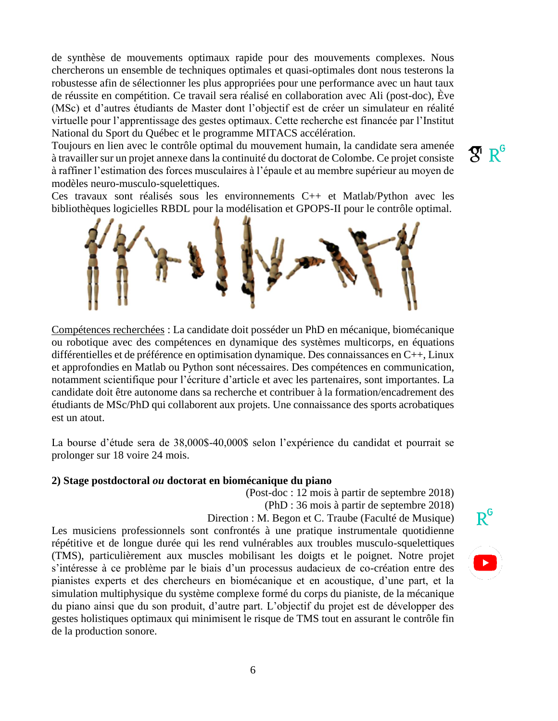de synthèse de mouvements optimaux rapide pour des mouvements complexes. Nous chercherons un ensemble de techniques optimales et quasi-optimales dont nous testerons la robustesse afin de sélectionner les plus appropriées pour une performance avec un haut taux de réussite en compétition. Ce travail sera réalisé en collaboration avec Ali (post-doc), Ève (MSc) et d'autres étudiants de Master dont l'objectif est de créer un simulateur en réalité virtuelle pour l'apprentissage des gestes optimaux. Cette recherche est financée par l'Institut National du Sport du Québec et le programme MITACS accélération.

Toujours en lien avec le contrôle optimal du mouvement humain, la candidate sera amenée à travailler sur un projet annexe dans la continuité du doctorat de Colombe. Ce projet consiste à raffiner l'estimation des forces musculaires à l'épaule et au membre supérieur au moyen de modèles neuro-musculo-squelettiques.

 $\mathcal{R} \mathbb{R}^6$ 

Ces travaux sont réalisés sous les environnements C++ et Matlab/Python avec les bibliothèques logicielles RBDL pour la modélisation et GPOPS-II pour le contrôle optimal.



Compétences recherchées : La candidate doit posséder un PhD en mécanique, biomécanique ou robotique avec des compétences en dynamique des systèmes multicorps, en équations différentielles et de préférence en optimisation dynamique. Des connaissances en C++, Linux et approfondies en Matlab ou Python sont nécessaires. Des compétences en communication, notamment scientifique pour l'écriture d'article et avec les partenaires, sont importantes. La candidate doit être autonome dans sa recherche et contribuer à la formation/encadrement des étudiants de MSc/PhD qui collaborent aux projets. Une connaissance des sports acrobatiques est un atout.

La bourse d'étude sera de 38,000\$-40,000\$ selon l'expérience du candidat et pourrait se prolonger sur 18 voire 24 mois.

#### **2) Stage postdoctoral** *ou* **doctorat en biomécanique du piano**

(Post-doc : 12 mois à partir de septembre 2018)

(PhD : 36 mois à partir de septembre 2018)

Direction : M. Begon et C. Traube (Faculté de Musique)

Les musiciens professionnels sont confrontés à une pratique instrumentale quotidienne répétitive et de longue durée qui les rend vulnérables aux troubles musculo-squelettiques (TMS), particulièrement aux muscles mobilisant les doigts et le poignet. Notre projet s'intéresse à ce problème par le biais d'un processus audacieux de co-création entre des pianistes experts et des chercheurs en biomécanique et en acoustique, d'une part, et la simulation multiphysique du système complexe formé du corps du pianiste, de la mécanique du piano ainsi que du son produit, d'autre part. L'objectif du projet est de développer des gestes holistiques optimaux qui minimisent le risque de TMS tout en assurant le contrôle fin de la production sonore.

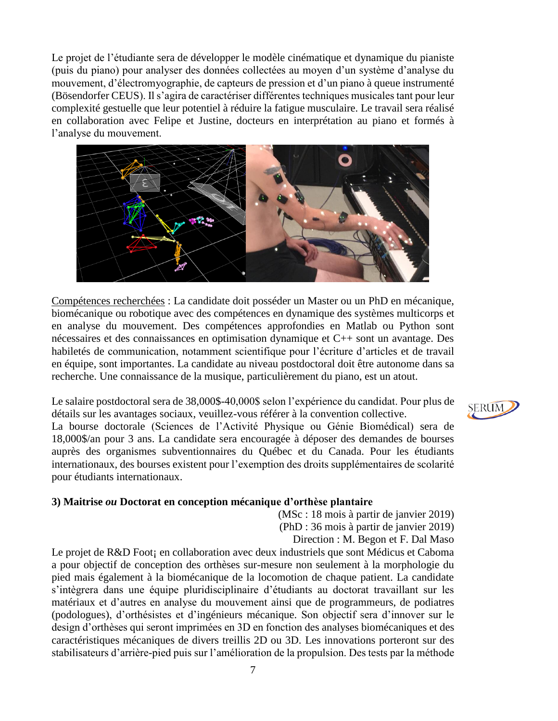Le projet de l'étudiante sera de développer le modèle cinématique et dynamique du pianiste (puis du piano) pour analyser des données collectées au moyen d'un système d'analyse du mouvement, d'électromyographie, de capteurs de pression et d'un piano à queue instrumenté (Bösendorfer CEUS). Il s'agira de caractériser différentes techniques musicales tant pour leur complexité gestuelle que leur potentiel à réduire la fatigue musculaire. Le travail sera réalisé en collaboration avec Felipe et Justine, docteurs en interprétation au piano et formés à l'analyse du mouvement.



Compétences recherchées : La candidate doit posséder un Master ou un PhD en mécanique, biomécanique ou robotique avec des compétences en dynamique des systèmes multicorps et en analyse du mouvement. Des compétences approfondies en Matlab ou Python sont nécessaires et des connaissances en optimisation dynamique et C++ sont un avantage. Des habiletés de communication, notamment scientifique pour l'écriture d'articles et de travail en équipe, sont importantes. La candidate au niveau postdoctoral doit être autonome dans sa recherche. Une connaissance de la musique, particulièrement du piano, est un atout.

Le salaire postdoctoral sera de 38,000\$-40,000\$ selon l'expérience du candidat. Pour plus de détails sur les avantages sociaux, veuillez-vous référer à la convention collective.

La bourse doctorale (Sciences de l'Activité Physique ou Génie Biomédical) sera de 18,000\$/an pour 3 ans. La candidate sera encouragée à déposer des demandes de bourses auprès des organismes subventionnaires du Québec et du Canada. Pour les étudiants internationaux, des bourses existent pour l'exemption des droits supplémentaires de scolarité pour étudiants internationaux.

#### **3) Maitrise** *ou* **Doctorat en conception mécanique d'orthèse plantaire**

(MSc : 18 mois à partir de janvier 2019) (PhD : 36 mois à partir de janvier 2019) Direction : M. Begon et F. Dal Maso

Le projet de R&D Foot; en collaboration avec deux industriels que sont Médicus et Caboma a pour objectif de conception des orthèses sur-mesure non seulement à la morphologie du pied mais également à la biomécanique de la locomotion de chaque patient. La candidate s'intègrera dans une équipe pluridisciplinaire d'étudiants au doctorat travaillant sur les matériaux et d'autres en analyse du mouvement ainsi que de programmeurs, de podiatres (podologues), d'orthésistes et d'ingénieurs mécanique. Son objectif sera d'innover sur le design d'orthèses qui seront imprimées en 3D en fonction des analyses biomécaniques et des caractéristiques mécaniques de divers treillis 2D ou 3D. Les innovations porteront sur des stabilisateurs d'arrière-pied puis sur l'amélioration de la propulsion. Des tests par la méthode

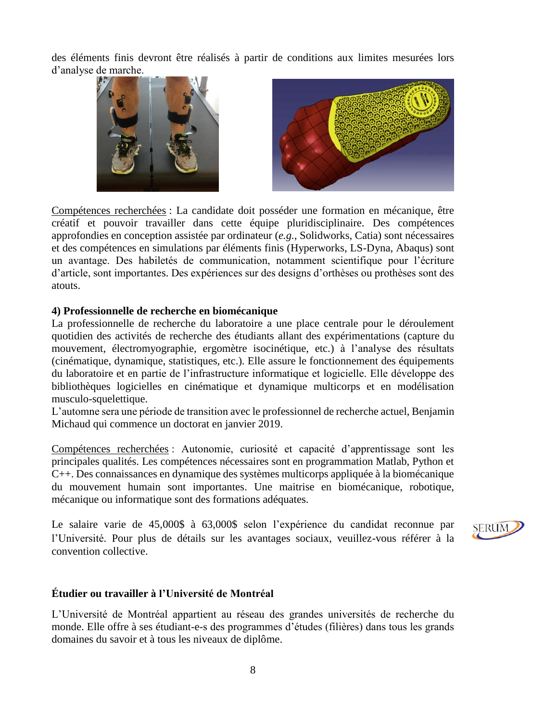des éléments finis devront être réalisés à partir de conditions aux limites mesurées lors d'analyse de marche.



Compétences recherchées : La candidate doit posséder une formation en mécanique, être créatif et pouvoir travailler dans cette équipe pluridisciplinaire. Des compétences approfondies en conception assistée par ordinateur (*e.g.*, Solidworks, Catia) sont nécessaires et des compétences en simulations par éléments finis (Hyperworks, LS-Dyna, Abaqus) sont un avantage. Des habiletés de communication, notamment scientifique pour l'écriture d'article, sont importantes. Des expériences sur des designs d'orthèses ou prothèses sont des atouts.

### **4) Professionnelle de recherche en biomécanique**

La professionnelle de recherche du laboratoire a une place centrale pour le déroulement quotidien des activités de recherche des étudiants allant des expérimentations (capture du mouvement, électromyographie, ergomètre isocinétique, etc.) à l'analyse des résultats (cinématique, dynamique, statistiques, etc.). Elle assure le fonctionnement des équipements du laboratoire et en partie de l'infrastructure informatique et logicielle. Elle développe des bibliothèques logicielles en cinématique et dynamique multicorps et en modélisation musculo-squelettique.

L'automne sera une période de transition avec le professionnel de recherche actuel, Benjamin Michaud qui commence un doctorat en janvier 2019.

Compétences recherchées : Autonomie, curiosité et capacité d'apprentissage sont les principales qualités. Les compétences nécessaires sont en programmation Matlab, Python et C++. Des connaissances en dynamique des systèmes multicorps appliquée à la biomécanique du mouvement humain sont importantes. Une maitrise en biomécanique, robotique, mécanique ou informatique sont des formations adéquates.

Le salaire varie de 45,000\$ à 63,000\$ selon l'expérience du candidat reconnue par l'Université. Pour plus de détails sur les avantages sociaux, veuillez-vous référer à la convention collective.



### **Étudier ou travailler à l'Université de Montréal**

L'Université de Montréal appartient au réseau des grandes universités de recherche du monde. Elle offre à ses étudiant-e-s des programmes d'études (filières) dans tous les grands domaines du savoir et à tous les niveaux de diplôme.